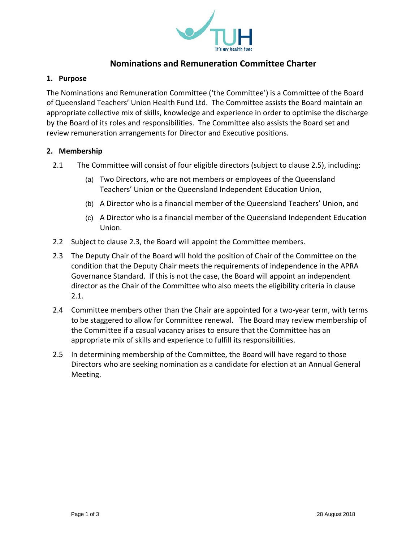

# **Nominations and Remuneration Committee Charter**

### **1. Purpose**

The Nominations and Remuneration Committee ('the Committee') is a Committee of the Board of Queensland Teachers' Union Health Fund Ltd. The Committee assists the Board maintain an appropriate collective mix of skills, knowledge and experience in order to optimise the discharge by the Board of its roles and responsibilities. The Committee also assists the Board set and review remuneration arrangements for Director and Executive positions.

### **2. Membership**

- 2.1 The Committee will consist of four eligible directors (subject to clause 2.5), including:
	- (a) Two Directors, who are not members or employees of the Queensland Teachers' Union or the Queensland Independent Education Union,
	- (b) A Director who is a financial member of the Queensland Teachers' Union, and
	- (c) A Director who is a financial member of the Queensland Independent Education Union.
- 2.2 Subject to clause 2.3, the Board will appoint the Committee members.
- 2.3 The Deputy Chair of the Board will hold the position of Chair of the Committee on the condition that the Deputy Chair meets the requirements of independence in the APRA Governance Standard. If this is not the case, the Board will appoint an independent director as the Chair of the Committee who also meets the eligibility criteria in clause 2.1.
- 2.4 Committee members other than the Chair are appointed for a two-year term, with terms to be staggered to allow for Committee renewal. The Board may review membership of the Committee if a casual vacancy arises to ensure that the Committee has an appropriate mix of skills and experience to fulfill its responsibilities.
- 2.5 In determining membership of the Committee, the Board will have regard to those Directors who are seeking nomination as a candidate for election at an Annual General Meeting.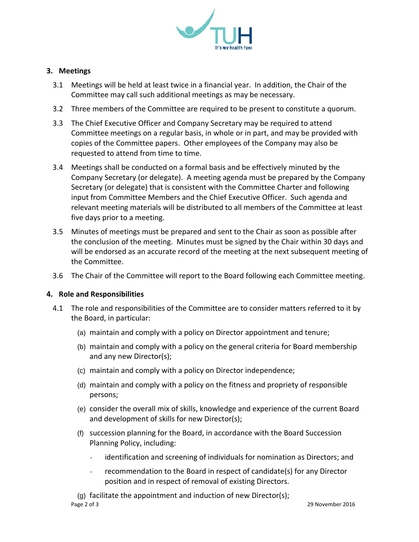

# **3. Meetings**

- 3.1 Meetings will be held at least twice in a financial year. In addition, the Chair of the Committee may call such additional meetings as may be necessary.
- 3.2 Three members of the Committee are required to be present to constitute a quorum.
- 3.3 The Chief Executive Officer and Company Secretary may be required to attend Committee meetings on a regular basis, in whole or in part, and may be provided with copies of the Committee papers. Other employees of the Company may also be requested to attend from time to time.
- 3.4 Meetings shall be conducted on a formal basis and be effectively minuted by the Company Secretary (or delegate). A meeting agenda must be prepared by the Company Secretary (or delegate) that is consistent with the Committee Charter and following input from Committee Members and the Chief Executive Officer. Such agenda and relevant meeting materials will be distributed to all members of the Committee at least five days prior to a meeting.
- 3.5 Minutes of meetings must be prepared and sent to the Chair as soon as possible after the conclusion of the meeting. Minutes must be signed by the Chair within 30 days and will be endorsed as an accurate record of the meeting at the next subsequent meeting of the Committee.
- 3.6 The Chair of the Committee will report to the Board following each Committee meeting.

## **4. Role and Responsibilities**

- 4.1 The role and responsibilities of the Committee are to consider matters referred to it by the Board, in particular:
	- (a) maintain and comply with a policy on Director appointment and tenure;
	- (b) maintain and comply with a policy on the general criteria for Board membership and any new Director(s);
	- (c) maintain and comply with a policy on Director independence;
	- (d) maintain and comply with a policy on the fitness and propriety of responsible persons;
	- (e) consider the overall mix of skills, knowledge and experience of the current Board and development of skills for new Director(s);
	- (f) succession planning for the Board, in accordance with the Board Succession Planning Policy, including:
		- identification and screening of individuals for nomination as Directors; and
		- recommendation to the Board in respect of candidate(s) for any Director position and in respect of removal of existing Directors.

Page 2 of 3 29 November 2016 (g) facilitate the appointment and induction of new Director(s);